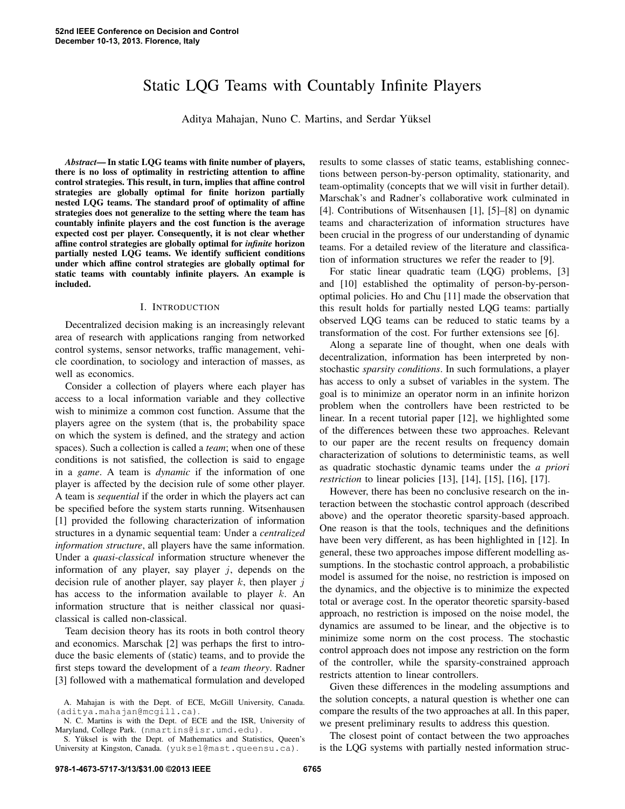# Static LQG Teams with Countably Infinite Players

Aditya Mahajan, Nuno C. Martins, and Serdar Yuksel ¨

*Abstract*— In static LQG teams with finite number of players, there is no loss of optimality in restricting attention to affine control strategies. This result, in turn, implies that affine control strategies are globally optimal for finite horizon partially nested LQG teams. The standard proof of optimality of affine strategies does not generalize to the setting where the team has countably infinite players and the cost function is the average expected cost per player. Consequently, it is not clear whether affine control strategies are globally optimal for *infinite* horizon partially nested LQG teams. We identify sufficient conditions under which affine control strategies are globally optimal for static teams with countably infinite players. An example is included.

### I. INTRODUCTION

Decentralized decision making is an increasingly relevant area of research with applications ranging from networked control systems, sensor networks, traffic management, vehicle coordination, to sociology and interaction of masses, as well as economics.

Consider a collection of players where each player has access to a local information variable and they collective wish to minimize a common cost function. Assume that the players agree on the system (that is, the probability space on which the system is defined, and the strategy and action spaces). Such a collection is called a *team*; when one of these conditions is not satisfied, the collection is said to engage in a *game*. A team is *dynamic* if the information of one player is affected by the decision rule of some other player. A team is *sequential* if the order in which the players act can be specified before the system starts running. Witsenhausen [1] provided the following characterization of information structures in a dynamic sequential team: Under a *centralized information structure*, all players have the same information. Under a *quasi-classical* information structure whenever the information of any player, say player  $j$ , depends on the decision rule of another player, say player  $k$ , then player  $j$ has access to the information available to player  $k$ . An information structure that is neither classical nor quasiclassical is called non-classical.

Team decision theory has its roots in both control theory and economics. Marschak [2] was perhaps the first to introduce the basic elements of (static) teams, and to provide the first steps toward the development of a *team theory*. Radner [3] followed with a mathematical formulation and developed results to some classes of static teams, establishing connections between person-by-person optimality, stationarity, and team-optimality (concepts that we will visit in further detail). Marschak's and Radner's collaborative work culminated in [4]. Contributions of Witsenhausen [1], [5]–[8] on dynamic teams and characterization of information structures have been crucial in the progress of our understanding of dynamic teams. For a detailed review of the literature and classification of information structures we refer the reader to [9].

For static linear quadratic team (LQG) problems, [3] and [10] established the optimality of person-by-personoptimal policies. Ho and Chu [11] made the observation that this result holds for partially nested LQG teams: partially observed LQG teams can be reduced to static teams by a transformation of the cost. For further extensions see [6].

Along a separate line of thought, when one deals with decentralization, information has been interpreted by nonstochastic *sparsity conditions*. In such formulations, a player has access to only a subset of variables in the system. The goal is to minimize an operator norm in an infinite horizon problem when the controllers have been restricted to be linear. In a recent tutorial paper [12], we highlighted some of the differences between these two approaches. Relevant to our paper are the recent results on frequency domain characterization of solutions to deterministic teams, as well as quadratic stochastic dynamic teams under the *a priori restriction* to linear policies [13], [14], [15], [16], [17].

However, there has been no conclusive research on the interaction between the stochastic control approach (described above) and the operator theoretic sparsity-based approach. One reason is that the tools, techniques and the definitions have been very different, as has been highlighted in [12]. In general, these two approaches impose different modelling assumptions. In the stochastic control approach, a probabilistic model is assumed for the noise, no restriction is imposed on the dynamics, and the objective is to minimize the expected total or average cost. In the operator theoretic sparsity-based approach, no restriction is imposed on the noise model, the dynamics are assumed to be linear, and the objective is to minimize some norm on the cost process. The stochastic control approach does not impose any restriction on the form of the controller, while the sparsity-constrained approach restricts attention to linear controllers.

Given these differences in the modeling assumptions and the solution concepts, a natural question is whether one can compare the results of the two approaches at all. In this paper, we present preliminary results to address this question.

The closest point of contact between the two approaches is the LQG systems with partially nested information struc-

A. Mahajan is with the Dept. of ECE, McGill University, Canada. (aditya.mahajan@mcgill.ca).

N. C. Martins is with the Dept. of ECE and the ISR, University of Maryland, College Park. (nmartins@isr.umd.edu).

S. Yüksel is with the Dept. of Mathematics and Statistics, Queen's University at Kingston, Canada. (yuksel@mast.queensu.ca).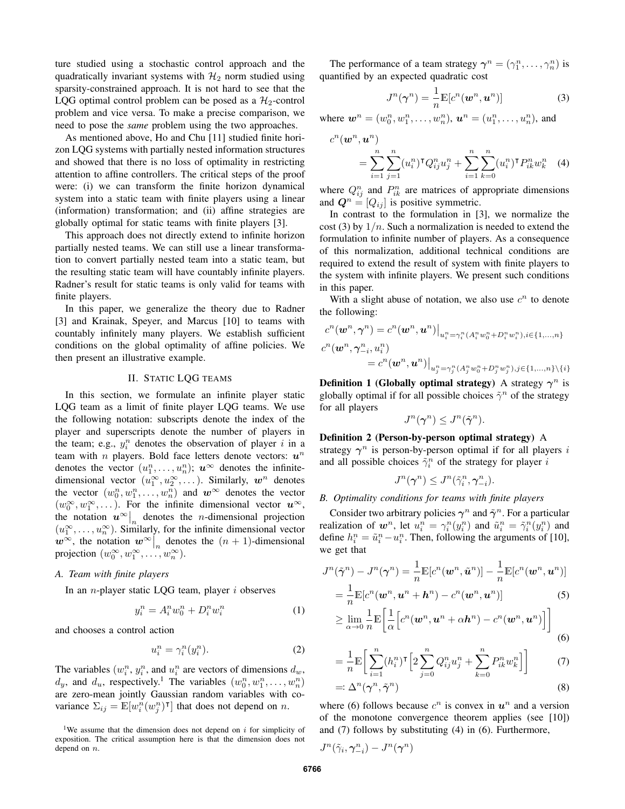ture studied using a stochastic control approach and the quadratically invariant systems with  $\mathcal{H}_2$  norm studied using sparsity-constrained approach. It is not hard to see that the LQG optimal control problem can be posed as a  $\mathcal{H}_2$ -control problem and vice versa. To make a precise comparison, we need to pose the *same* problem using the two approaches.

As mentioned above, Ho and Chu [11] studied finite horizon LQG systems with partially nested information structures and showed that there is no loss of optimality in restricting attention to affine controllers. The critical steps of the proof were: (i) we can transform the finite horizon dynamical system into a static team with finite players using a linear (information) transformation; and (ii) affine strategies are globally optimal for static teams with finite players [3].

This approach does not directly extend to infinite horizon partially nested teams. We can still use a linear transformation to convert partially nested team into a static team, but the resulting static team will have countably infinite players. Radner's result for static teams is only valid for teams with finite players.

In this paper, we generalize the theory due to Radner [3] and Krainak, Speyer, and Marcus [10] to teams with countably infinitely many players. We establish sufficient conditions on the global optimality of affine policies. We then present an illustrative example.

## II. STATIC LQG TEAMS

In this section, we formulate an infinite player static LQG team as a limit of finite player LQG teams. We use the following notation: subscripts denote the index of the player and superscripts denote the number of players in the team; e.g.,  $y_i^n$  denotes the observation of player i in a team with *n* players. Bold face letters denote vectors:  $u^n$ denotes the vector  $(u_1^n, \ldots, u_n^n); u^{\infty}$  denotes the infinitedimensional vector  $(u_1^{\infty}, u_2^{\infty}, \dots)$ . Similarly,  $w^n$  denotes the vector  $(w_0^n, w_1^n, \ldots, w_n^n)$  and  $w^{\infty}$  denotes the vector  $(w_0^{\infty}, w_1^{\infty}, \dots)$ . For the infinite dimensional vector  $u^{\infty}$ , the notation  $u^{\infty}\Big|_n$  denotes the *n*-dimensional projection  $(u_1^{\infty},...,u_n^{\infty})$ . Similarly, for the infinite dimensional vector  $w^{\infty}$ , the notation  $w^{\infty}|_n$  denotes the  $(n + 1)$ -dimensional projection  $(w_0^{\infty}, w_1^{\infty}, \ldots, w_n^{\infty}).$ 

# *A. Team with finite players*

In an *n*-player static LQG team, player  $i$  observes

$$
y_i^n = A_i^n w_0^n + D_i^n w_i^n \tag{1}
$$

and chooses a control action

$$
u_i^n = \gamma_i^n(y_i^n). \tag{2}
$$

The variables  $(w_i^n, y_i^n)$ , and  $u_i^n$  are vectors of dimensions  $d_w$ ,  $d_y$ , and  $d_u$ , respectively.<sup>1</sup> The variables  $(w_0^n, w_1^n, \ldots, w_n^n)$ are zero-mean jointly Gaussian random variables with covariance  $\Sigma_{ij} = \mathbb{E}[w_i^n(w_j^n)^\intercal]$  that does not depend on n.

The performance of a team strategy  $\boldsymbol{\gamma}^n = (\gamma_1^n, \dots, \gamma_n^n)$  is quantified by an expected quadratic cost

$$
J^n(\boldsymbol{\gamma}^n) = \frac{1}{n} \mathbb{E}[c^n(\boldsymbol{w}^n, \boldsymbol{u}^n)] \tag{3}
$$

where  $w^n = (w_0^n, w_1^n, \dots, w_n^n), u^n = (u_1^n, \dots, u_n^n)$ , and

$$
c^{n}(\boldsymbol{w}^{n}, \boldsymbol{u}^{n}) = \sum_{i=1}^{n} \sum_{j=1}^{n} (u_{i}^{n})^{\mathsf{T}} Q_{ij}^{n} u_{j}^{n} + \sum_{i=1}^{n} \sum_{k=0}^{n} (u_{i}^{n})^{\mathsf{T}} P_{ik}^{n} w_{k}^{n}
$$
 (4)

where  $Q_{ij}^n$  and  $P_{ik}^n$  are matrices of appropriate dimensions and  $\mathbf{Q}^n = [Q_{ij}]$  is positive symmetric.

In contrast to the formulation in [3], we normalize the cost (3) by  $1/n$ . Such a normalization is needed to extend the formulation to infinite number of players. As a consequence of this normalization, additional technical conditions are required to extend the result of system with finite players to the system with infinite players. We present such conditions in this paper.

With a slight abuse of notation, we also use  $c^n$  to denote the following:

$$
c^{n}(\boldsymbol{w}^{n},\boldsymbol{\gamma}^{n}) = c^{n}(\boldsymbol{w}^{n},\boldsymbol{u}^{n})\big|_{u_{i}^{n} = \gamma_{i}^{n}(A_{i}^{n}w_{0}^{n} + D_{i}^{n}w_{i}^{n}), i \in \{1,...,n\}}
$$
  

$$
c^{n}(\boldsymbol{w}^{n},\boldsymbol{\gamma}_{-i}^{n},u_{i}^{n})
$$

$$
= c^{n}(\boldsymbol{w}^{n},\boldsymbol{u}^{n})\big|_{u_{j}^{n} = \gamma_{j}^{n}(A_{j}^{n}w_{0}^{n} + D_{j}^{n}w_{j}^{n}), j \in \{1,...,n\}\setminus\{i\}}
$$

**Definition 1 (Globally optimal strategy)** A strategy  $\gamma^n$  is globally optimal if for all possible choices  $\tilde{\gamma}^n$  of the strategy for all players

$$
J^n(\gamma^n) \leq J^n(\tilde{\gamma}^n).
$$

Definition 2 (Person-by-person optimal strategy) A strategy  $\gamma^n$  is person-by-person optimal if for all players i and all possible choices  $\tilde{\gamma}_i^n$  of the strategy for player i

$$
J^n(\gamma^n) \leq J^n(\tilde{\gamma}_i^n, \gamma_{-i}^n).
$$

### *B. Optimality conditions for teams with finite players*

Consider two arbitrary policies  $\gamma^n$  and  $\tilde{\gamma}^n$ . For a particular realization of  $\mathbf{w}^n$ , let  $u_i^n = \gamma_i^n(y_i^n)$  and  $\tilde{u}_i^n = \tilde{\gamma}_i^n(y_i^n)$  and define  $h_i^n = \tilde{u}_i^n - u_i^n$ . Then, following the arguments of [10], we get that

$$
J^n(\tilde{\gamma}^n) - J^n(\gamma^n) = \frac{1}{n} \mathbb{E}[c^n(\boldsymbol{w}^n, \tilde{\boldsymbol{u}}^n)] - \frac{1}{n} \mathbb{E}[c^n(\boldsymbol{w}^n, \boldsymbol{u}^n)]
$$
  
= 
$$
\frac{1}{n} \mathbb{E}[c^n(\boldsymbol{w}^n, \boldsymbol{u}^n + \boldsymbol{h}^n) - c^n(\boldsymbol{w}^n, \boldsymbol{u}^n)]
$$
(5)

$$
\geq \lim_{\alpha \to 0} \frac{1}{n} \mathbb{E} \bigg[ \frac{1}{\alpha} \bigg[ c^n(\boldsymbol{w}^n, \boldsymbol{u}^n + \alpha \boldsymbol{h}^n) - c^n(\boldsymbol{w}^n, \boldsymbol{u}^n) \bigg] \bigg] \tag{6}
$$

$$
= \frac{1}{n} \mathbb{E}\bigg[\sum_{i=1}^{n} (h_i^n)^{\mathsf{T}} \bigg[2\sum_{j=0}^{n} Q_{ij}^n u_j^n + \sum_{k=0}^{n} P_{ik}^n w_k^n\bigg]\bigg] \tag{7}
$$

$$
=:\Delta^n(\gamma^n,\tilde{\gamma}^n) \tag{8}
$$

where (6) follows because  $c^n$  is convex in  $u^n$  and a version of the monotone convergence theorem applies (see [10]) and (7) follows by substituting (4) in (6). Furthermore,

$$
J^n(\tilde{\gamma}_i,\boldsymbol{\gamma}^n_{-i})-J^n(\boldsymbol{\gamma}^n)
$$

<sup>&</sup>lt;sup>1</sup>We assume that the dimension does not depend on  $i$  for simplicity of exposition. The critical assumption here is that the dimension does not depend on n.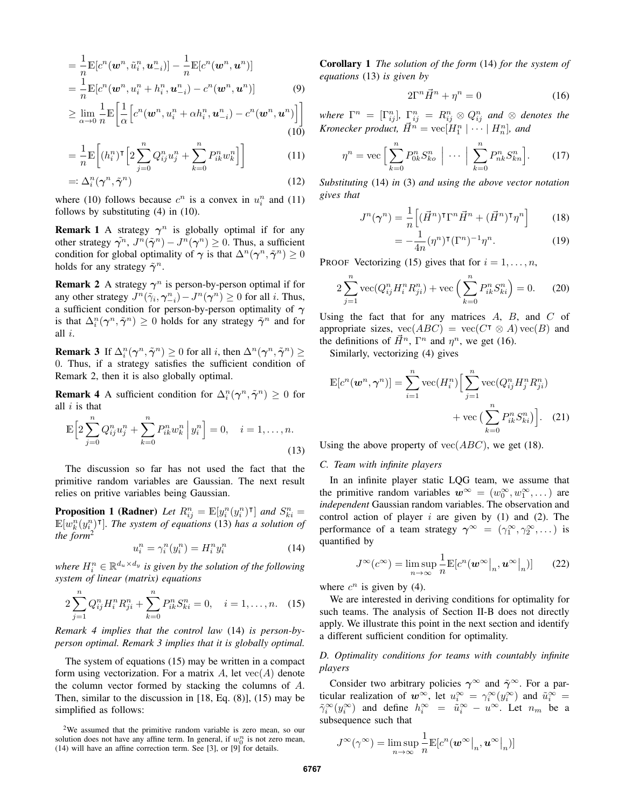$$
= \frac{1}{n} \mathbb{E}[c^n(\boldsymbol{w}^n, \tilde{u}_i^n, \boldsymbol{u}_{-i}^n)] - \frac{1}{n} \mathbb{E}[c^n(\boldsymbol{w}^n, \boldsymbol{u}^n)] = \frac{1}{n} \mathbb{E}[c^n(\boldsymbol{w}^n, u_i^n + h_i^n, \boldsymbol{u}_{-i}^n) - c^n(\boldsymbol{w}^n, \boldsymbol{u}^n)] \tag{9}
$$

$$
\geq \lim_{\alpha \to 0} \frac{1}{n} \mathbb{E} \bigg[ \frac{1}{\alpha} \Big[ c^n(\boldsymbol{w}^n, u_i^n + \alpha h_i^n, \boldsymbol{u}_{-i}^n) - c^n(\boldsymbol{w}^n, \boldsymbol{u}^n) \Big] \bigg]
$$
(10)

$$
= \frac{1}{n} \mathbb{E}\bigg[ (h_i^n)^\mathsf{T} \Big[ 2 \sum_{j=0}^n Q_{ij}^n u_j^n + \sum_{k=0}^n P_{ik}^n w_k^n \Big] \bigg] \tag{11}
$$

$$
=:\Delta_i^n(\gamma^n,\tilde{\gamma}^n) \tag{12}
$$

where (10) follows because  $c^n$  is a convex in  $u_i^n$  and (11) follows by substituting (4) in (10).

**Remark 1** A strategy  $\gamma^n$  is globally optimal if for any other strategy  $\tilde{\gamma^n}$ ,  $J^n(\tilde{\gamma}^n) - J^n(\gamma^n) \ge 0$ . Thus, a sufficient condition for global optimality of  $\gamma$  is that  $\Delta^n(\gamma^n, \tilde{\gamma}^n) \ge 0$ holds for any strategy  $\tilde{\gamma}^n$ .

**Remark 2** A strategy  $\gamma^n$  is person-by-person optimal if for any other strategy  $J^n(\tilde{\gamma}_i, \gamma_{-i}^n) - J^n(\gamma^n) \ge 0$  for all *i*. Thus, a sufficient condition for person-by-person optimality of  $\gamma$ is that  $\Delta_i^n(\gamma^n, \tilde{\gamma}^n) \geq 0$  holds for any strategy  $\tilde{\gamma}^n$  and for all  $i$ .

**Remark 3** If  $\Delta_i^n(\gamma^n, \tilde{\gamma}^n) \ge 0$  for all *i*, then  $\Delta^n(\gamma^n, \tilde{\gamma}^n) \ge$ 0. Thus, if a strategy satisfies the sufficient condition of Remark 2, then it is also globally optimal.

**Remark 4** A sufficient condition for  $\Delta_i^n(\gamma^n, \tilde{\gamma}^n) \ge 0$  for all  $i$  is that

$$
\mathbb{E}\Big[2\sum_{j=0}^{n}Q_{ij}^{n}u_{j}^{n} + \sum_{k=0}^{n}P_{ik}^{n}w_{k}^{n}\Big|y_{i}^{n}\Big] = 0, \quad i = 1, ..., n.
$$
\n(13)

The discussion so far has not used the fact that the primitive random variables are Gaussian. The next result relies on pritive variables being Gaussian.

**Proposition 1 (Radner)** Let  $R_{ij}^n = \mathbb{E}[y_i^n(y_i^n)^\intercal]$  and  $S_{ki}^n =$  $\mathbb{E}[w_k^n(y_i^n)^\intercal]$ . The system of equations (13) has a solution of *the form*<sup>2</sup>

$$
u_i^n = \gamma_i^n(y_i^n) = H_i^n y_i^n \tag{14}
$$

where  $H_i^n \in \mathbb{R}^{d_u \times d_y}$  is given by the solution of the following *system of linear (matrix) equations*

$$
2\sum_{j=1}^{n} Q_{ij}^{n} H_{i}^{n} R_{ji}^{n} + \sum_{k=0}^{n} P_{ik}^{n} S_{ki}^{n} = 0, \quad i = 1, ..., n. \quad (15)
$$

*Remark 4 implies that the control law* (14) *is person-byperson optimal. Remark 3 implies that it is globally optimal.*

The system of equations (15) may be written in a compact form using vectorization. For a matrix  $A$ , let  $vec(A)$  denote the column vector formed by stacking the columns of A. Then, similar to the discussion in [18, Eq. (8)], (15) may be simplified as follows:

Corollary 1 *The solution of the form* (14) *for the system of equations* (13) *is given by*

$$
2\Gamma^n \vec{H}^n + \eta^n = 0\tag{16}
$$

where  $\Gamma^n = [\Gamma_{ij}^n]$ ,  $\Gamma_{ij}^n = R_{ij}^n \otimes Q_{ij}^n$  and  $\otimes$  denotes the *Kronecker product,*  $\vec{H}^n = \text{vec}[H_1^n \mid \cdots \mid H_n^n]$ *, and* 

$$
\eta^n = \text{vec}\left[\sum_{k=0}^n P_{0k}^n S_{ko}^n \middle| \cdots \middle| \sum_{k=0}^n P_{nk}^n S_{kn}^n \right]. \tag{17}
$$

*Substituting* (14) *in* (3) *and using the above vector notation gives that*

$$
J^n(\boldsymbol{\gamma}^n) = \frac{1}{n} \left[ (\vec{H}^n)^{\intercal} \Gamma^n \vec{H}^n + (\vec{H}^n)^{\intercal} \eta^n \right] \tag{18}
$$

$$
=-\frac{1}{4n}(\eta^n)^{\mathsf{T}}(\Gamma^n)^{-1}\eta^n.\tag{19}
$$

PROOF Vectorizing (15) gives that for  $i = 1, \ldots, n$ ,

$$
2\sum_{j=1}^{n} \text{vec}(Q_{ij}^{n} H_{i}^{n} R_{ji}^{n}) + \text{vec}\left(\sum_{k=0}^{n} P_{ik}^{n} S_{ki}^{n}\right) = 0. \tag{20}
$$

Using the fact that for any matrices  $A$ ,  $B$ , and  $C$  of appropriate sizes,  $\text{vec}(ABC) = \text{vec}(C^{\mathsf{T}} \otimes A) \text{vec}(B)$  and the definitions of  $\vec{H}^n$ ,  $\Gamma^n$  and  $\eta^n$ , we get (16).

Similarly, vectorizing (4) gives

$$
\mathbb{E}[c^n(\boldsymbol{w}^n, \boldsymbol{\gamma}^n)] = \sum_{i=1}^n \text{vec}(H_i^n) \Big[ \sum_{j=1}^n \text{vec}(Q_{ij}^n H_j^n R_{ji}^n) + \text{vec}\left(\sum_{k=0}^n P_{ik}^n S_{ki}^n\right) \Big].
$$
 (21)

Using the above property of  $vec(ABC)$ , we get (18).

## *C. Team with infinite players*

In an infinite player static LQG team, we assume that the primitive random variables  $w^{\infty} = (w_0^{\infty}, w_1^{\infty}, \dots)$  are *independent* Gaussian random variables. The observation and control action of player  $i$  are given by (1) and (2). The performance of a team strategy  $\gamma^{\infty} = (\gamma_1^{\infty}, \gamma_2^{\infty}, \dots)$  is quantified by

$$
J^{\infty}(c^{\infty}) = \limsup_{n \to \infty} \frac{1}{n} \mathbb{E}[c^n(\boldsymbol{w}^{\infty}|_n, \boldsymbol{u}^{\infty}|_n)] \qquad (22)
$$

where  $c^n$  is given by (4).

We are interested in deriving conditions for optimality for such teams. The analysis of Section II-B does not directly apply. We illustrate this point in the next section and identify a different sufficient condition for optimality.

# *D. Optimality conditions for teams with countably infinite players*

Consider two arbitrary policies  $\gamma^{\infty}$  and  $\tilde{\gamma}^{\infty}$ . For a particular realization of  $w^{\infty}$ , let  $u_i^{\infty} = \gamma_i^{\infty}(y_i^{\infty})$  and  $\tilde{u}_i^{\infty} =$  $\tilde{\gamma}_i^{\infty}(y_i^{\infty})$  and define  $h_i^{\infty} = \tilde{u}_i^{\infty} - u^{\infty}$ . Let  $n_m$  be a subsequence such that

$$
J^{\infty}(\gamma^{\infty}) = \limsup_{n \to \infty} \frac{1}{n} \mathbb{E}[c^n(\boldsymbol{w}^{\infty}|_n, \boldsymbol{u}^{\infty}|_n)]
$$

<sup>2</sup>We assumed that the primitive random variable is zero mean, so our solution does not have any affine term. In general, if  $w_0^n$  is not zero mean, (14) will have an affine correction term. See [3], or [9] for details.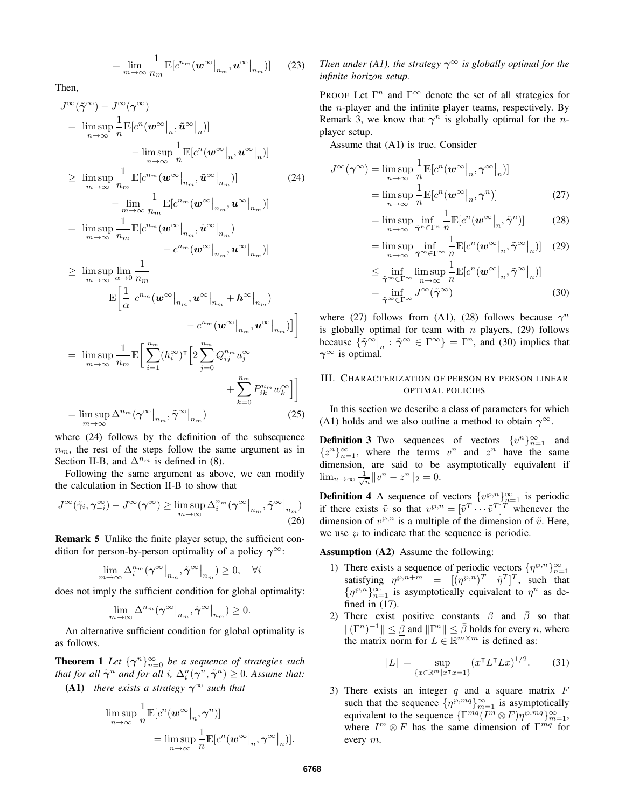$$
= \lim_{m \to \infty} \frac{1}{n_m} \mathbb{E}[c^{n_m}(\boldsymbol{w}^{\infty}|_{n_m}, \boldsymbol{u}^{\infty}|_{n_m})] \qquad (23)
$$

Then,

$$
J^{\infty}(\tilde{\gamma}^{\infty}) - J^{\infty}(\gamma^{\infty})
$$
  
\n
$$
= \limsup_{n \to \infty} \frac{1}{n} \mathbb{E}[c^{n}(\boldsymbol{w}^{\infty}|_{n}, \tilde{\boldsymbol{u}}^{\infty}|_{n})]
$$
  
\n
$$
- \limsup_{n \to \infty} \frac{1}{n} \mathbb{E}[c^{n}(\boldsymbol{w}^{\infty}|_{n}, \tilde{\boldsymbol{u}}^{\infty}|_{n})]
$$
  
\n
$$
\geq \limsup_{m \to \infty} \frac{1}{n_{m}} \mathbb{E}[c^{n_{m}}(\boldsymbol{w}^{\infty}|_{n_{m}}, \tilde{\boldsymbol{u}}^{\infty}|_{n_{m}})]
$$
  
\n
$$
- \lim_{m \to \infty} \frac{1}{n_{m}} \mathbb{E}[c^{n_{m}}(\boldsymbol{w}^{\infty}|_{n_{m}}, \tilde{\boldsymbol{u}}^{\infty}|_{n_{m}})]
$$
  
\n
$$
= \limsup_{m \to \infty} \frac{1}{n_{m}} \mathbb{E}[c^{n_{m}}(\boldsymbol{w}^{\infty}|_{n_{m}}, \tilde{\boldsymbol{u}}^{\infty}|_{n_{m}})]
$$
  
\n
$$
\geq \limsup_{m \to \infty} \lim_{\alpha \to 0} \frac{1}{n_{m}}
$$
  
\n
$$
\mathbb{E}[\frac{1}{\alpha}[c^{n_{m}}(\boldsymbol{w}^{\infty}|_{n_{m}}, \boldsymbol{u}^{\infty}|_{n_{m}} + \boldsymbol{h}^{\infty}|_{n_{m}})]
$$
  
\n
$$
- c^{n_{m}}(\boldsymbol{w}^{\infty}|_{n_{m}}, \boldsymbol{u}^{\infty}|_{n_{m}})]
$$
  
\n
$$
- c^{n_{m}}(\boldsymbol{w}^{\infty}|_{n_{m}}, \boldsymbol{u}^{\infty}|_{n_{m}})]
$$
  
\n
$$
\limsup_{m \to \infty} \frac{1}{n} \mathbb{E}[\sum_{n=1}^{n} (l^{\infty}) \mathbb{E}[\sum_{n=1}^{n} C_{n_{m}}, \boldsymbol{u}^{\infty}|_{n_{m}}]
$$

$$
= \limsup_{m \to \infty} \frac{1}{n_m} \mathbb{E} \bigg[ \sum_{i=1}^{n_m} (h_i^{\infty})^{\mathsf{T}} \bigg[ 2 \sum_{j=0}^{n_m} Q_{ij}^{n_m} u_j^{\infty} + \sum_{k=0}^{n_m} P_{ik}^{n_m} w_k^{\infty} \bigg] \bigg]
$$

$$
= \limsup_{m \to \infty} \Delta^{n_m} (\gamma^{\infty}|_{n_m}, \tilde{\gamma}^{\infty}|_{n_m})
$$
(25)

where (24) follows by the definition of the subsequence  $n_m$ , the rest of the steps follow the same argument as in Section II-B, and  $\Delta^{n_m}$  is defined in (8).

Following the same argument as above, we can modify the calculation in Section II-B to show that

$$
J^{\infty}(\tilde{\gamma}_i, \gamma_{-i}^{\infty}) - J^{\infty}(\gamma^{\infty}) \ge \limsup_{m \to \infty} \Delta_i^{n_m}(\gamma^{\infty}|_{n_m}, \tilde{\gamma}^{\infty}|_{n_m})
$$
\n(26)

Remark 5 Unlike the finite player setup, the sufficient condition for person-by-person optimality of a policy  $\gamma^{\infty}$ :

$$
\lim_{m \to \infty} \Delta_i^{n_m} (\gamma^{\infty} \big|_{n_m}, \tilde{\gamma}^{\infty} \big|_{n_m}) \ge 0, \quad \forall i
$$

does not imply the sufficient condition for global optimality:

$$
\lim_{m\to\infty}\Delta^{n_m}(\gamma^{\infty}\big|_{n_m},\tilde{\gamma}^{\infty}\big|_{n_m})\geq 0.
$$

An alternative sufficient condition for global optimality is as follows.

**Theorem 1** *Let*  $\{\gamma^n\}_{n=0}^{\infty}$  *be a sequence of strategies such that for all*  $\tilde{\gamma}^n$  *and for all i,*  $\Delta_i^n(\gamma^n, \tilde{\gamma}^n) \geq 0$ *. Assume that:* (A1) *there exists a strategy*  $\gamma^{\infty}$  *such that* 

$$
\limsup_{n \to \infty} \frac{1}{n} \mathbb{E}[c^n(\boldsymbol{w}^{\infty}|_n, \gamma^n)]
$$
  
= 
$$
\limsup_{n \to \infty} \frac{1}{n} \mathbb{E}[c^n(\boldsymbol{w}^{\infty}|_n, \gamma^{\infty}|_n)].
$$

# *Then under (A1), the strategy*  $\gamma^{\infty}$  *is globally optimal for the infinite horizon setup.*

PROOF Let  $\Gamma^n$  and  $\Gamma^\infty$  denote the set of all strategies for the  $n$ -player and the infinite player teams, respectively. By Remark 3, we know that  $\gamma^n$  is globally optimal for the *n*player setup.

Assume that (A1) is true. Consider

$$
J^{\infty}(\boldsymbol{\gamma}^{\infty}) = \limsup_{n \to \infty} \frac{1}{n} \mathbb{E}[c^n(\boldsymbol{w}^{\infty}|_n, \boldsymbol{\gamma}^{\infty}|_n)]
$$
  
= 
$$
\limsup_{n \to \infty} \frac{1}{n} \mathbb{E}[c^n(\boldsymbol{w}^{\infty}|_n, \boldsymbol{\gamma}^n)]
$$
(27)

$$
= \limsup_{n \to \infty} \inf_{\tilde{\gamma}^n \in \Gamma^n} \frac{1}{n} \mathbb{E}[c^n(\boldsymbol{w}^{\infty}|_n, \tilde{\gamma}^n)] \tag{28}
$$

$$
= \limsup_{n \to \infty} \inf_{\tilde{\boldsymbol{\gamma}}^{\infty} \in \Gamma^{\infty}} \frac{1}{n} \mathbb{E}[c^n(\boldsymbol{w}^{\infty}|_n, \tilde{\boldsymbol{\gamma}}^{\infty}|_n)] \quad (29)
$$

$$
\leq \inf_{\tilde{\gamma}^{\infty} \in \Gamma^{\infty}} \limsup_{n \to \infty} \frac{1}{n} \mathbb{E}[c^n(\boldsymbol{w}^{\infty}|_n, \tilde{\gamma}^{\infty}|_n)]
$$
\n
$$
= \inf_{\tilde{\gamma}^{\infty} \in \Gamma^{\infty}} J^{\infty}(\tilde{\gamma}^{\infty})
$$
\n(30)

where (27) follows from (A1), (28) follows because  $\gamma^n$ is globally optimal for team with  $n$  players, (29) follows because  $\{\tilde{\gamma}^{\infty}\big|_n : \tilde{\gamma}^{\infty} \in \Gamma^{\infty}\} = \Gamma^n$ , and (30) implies that  $\gamma^{\infty}$  is optimal.

# III. CHARACTERIZATION OF PERSON BY PERSON LINEAR OPTIMAL POLICIES

In this section we describe a class of parameters for which (A1) holds and we also outline a method to obtain  $\gamma^{\infty}$ .

**Definition 3** Two sequences of vectors  $\{v^n\}_{n=1}^{\infty}$  and  ${z^n}_{n=1}^{\infty}$ , where the terms  $v^n$  and  $z^n$  have the same dimension, are said to be asymptotically equivalent if  $\lim_{n \to \infty} \frac{1}{\sqrt{n}} ||v^n - z^n||_2 = 0.$ 

**Definition 4** A sequence of vectors  $\{v^{\wp,n}\}_{n=1}^{\infty}$  is periodic if there exists  $\tilde{v}$  so that  $v^{\wp,n} = [\tilde{v}^T \cdots \tilde{v}^T]^T$  whenever the dimension of  $v^{\wp,n}$  is a multiple of the dimension of  $\tilde{v}$ . Here, we use  $\wp$  to indicate that the sequence is periodic.

Assumption (A2) Assume the following:

- 1) There exists a sequence of periodic vectors  $\{\eta^{\wp,n}\}_{n=1}^{\infty}$ satisfying  $\eta^{\wp,n+m} = [(\eta^{\wp,n})^T \quad \tilde{\eta}^T]^T$ , such that  $\{\eta^{\wp,n}\}_{n=1}^{\infty}$  is asymptotically equivalent to  $\eta^n$  as defined in (17).
- 2) There exist positive constants  $\beta$  and  $\overline{\beta}$  so that  $\|(\Gamma^n)^{-1}\| \leq \underline{\beta}$  and  $\|\Gamma^n\| \leq \overline{\beta}$  holds for every *n*, where the matrix norm for  $L \in \mathbb{R}^{m \times m}$  is defined as:

$$
||L|| = \sup_{\{x \in \mathbb{R}^m | x^\intercal x = 1\}} (x^\intercal L^\intercal L x)^{1/2}.
$$
 (31)

3) There exists an integer  $q$  and a square matrix  $F$ such that the sequence  $\{\eta^{\wp,mq}\}_{m=1}^{\infty}$  is asymptotically equivalent to the sequence  $\{\Gamma^{mq}(I^m \otimes F)\eta^{\wp,mq}\}_{m=1}^{\infty}$ , where  $I^m \otimes F$  has the same dimension of  $\Gamma^{mq}$  for every m.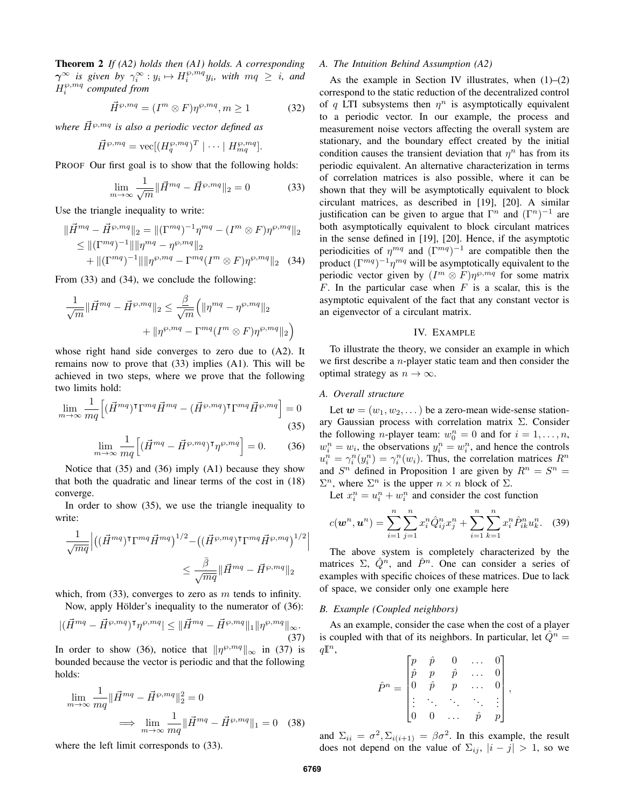Theorem 2 *If (A2) holds then (A1) holds. A corresponding*  $\gamma^{\infty}$  *is given by*  $\gamma_i^{\infty}: y_i \mapsto H_i^{\wp, mq} y_i$ *, with*  $mq \geq i$ *, and*  $H_i^{\wp,mq}$  computed from

$$
\vec{H}^{\wp,mq} = (I^m \otimes F)\eta^{\wp,mq}, m \ge 1 \tag{32}
$$

*where*  $\vec{H}^{\wp,mq}$  *is also a periodic vector defined as* 

$$
\vec{H}^{\wp,mq} = \text{vec}[(H_q^{\wp,mq})^T \mid \cdots \mid H_{mq}^{\wp,mq}].
$$

PROOF Our first goal is to show that the following holds:

$$
\lim_{m \to \infty} \frac{1}{\sqrt{m}} \| \vec{H}^{mq} - \vec{H}^{\wp,mq} \|_2 = 0
$$
 (33)

Use the triangle inequality to write:

$$
\|\vec{H}^{mq} - \vec{H}^{\wp,mq}\|_2 = \|(\Gamma^{mq})^{-1}\eta^{mq} - (I^m \otimes F)\eta^{\wp,mq}\|_2
$$
  
\n
$$
\leq \|(\Gamma^{mq})^{-1}\| \|\eta^{mq} - \eta^{\wp,mq}\|_2
$$
  
\n
$$
+ \|(\Gamma^{mq})^{-1}\| \|\eta^{\wp,mq} - \Gamma^{mq}(I^m \otimes F)\eta^{\wp,mq}\|_2 \quad (34)
$$

From (33) and (34), we conclude the following:

$$
\frac{1}{\sqrt{m}} \|\vec{H}^{mq} - \vec{H}^{\wp,mq}\|_2 \le \frac{\underline{\beta}}{\sqrt{m}} \Big(\|\eta^{mq} - \eta^{\wp,mq}\|_2 + \|\eta^{\wp,mq} - \Gamma^{mq}(I^m \otimes F)\eta^{\wp,mq}\|_2\Big)
$$

whose right hand side converges to zero due to (A2). It remains now to prove that (33) implies (A1). This will be achieved in two steps, where we prove that the following two limits hold:

$$
\lim_{m \to \infty} \frac{1}{mq} \Big[ (\vec{H}^{mq})^{\dagger} \Gamma^{mq} \vec{H}^{mq} - (\vec{H}^{\wp, mq})^{\dagger} \Gamma^{mq} \vec{H}^{\wp, mq} \Big] = 0
$$
\n(35)

$$
\lim_{m \to \infty} \frac{1}{mq} \left[ (\vec{H}^{mq} - \vec{H}^{\wp, mq})^{\mathsf{T}} \eta^{\wp, mq} \right] = 0. \tag{36}
$$

Notice that (35) and (36) imply (A1) because they show that both the quadratic and linear terms of the cost in (18) converge.

In order to show (35), we use the triangle inequality to write:

$$
\frac{1}{\sqrt{mq}} \Big| \left( (\vec{H}^{mq})^{\intercal}\Gamma^{mq}\vec{H}^{mq} \right)^{1/2} - \left( (\vec{H}^{\wp,mq})^{\intercal}\Gamma^{mq}\vec{H}^{\wp,mq} \right)^{1/2} \leq \frac{\bar{\beta}}{\sqrt{mq}} \|\vec{H}^{mq} - \vec{H}^{\wp,mq} \|_2
$$

which, from  $(33)$ , converges to zero as m tends to infinity.

Now, apply Hölder's inequality to the numerator of (36):

$$
|(\vec{H}^{mq} - \vec{H}^{\wp,mq})^{\mathsf{T}} \eta^{\wp,mq}| \le ||\vec{H}^{mq} - \vec{H}^{\wp,mq}||_1 ||\eta^{\wp,mq}||_{\infty}.
$$
\n(37)

In order to show (36), notice that  $\|\eta^{\wp,mq}\|_{\infty}$  in (37) is bounded because the vector is periodic and that the following holds:

$$
\lim_{m \to \infty} \frac{1}{mq} \|\vec{H}^{mq} - \vec{H}^{\wp, mq}\|_2^2 = 0
$$
  

$$
\implies \lim_{m \to \infty} \frac{1}{mq} \|\vec{H}^{mq} - \vec{H}^{\wp, mq}\|_1 = 0 \quad (38)
$$

where the left limit corresponds to (33).

### *A. The Intuition Behind Assumption (A2)*

As the example in Section IV illustrates, when  $(1)$ – $(2)$ correspond to the static reduction of the decentralized control of q LTI subsystems then  $\eta^n$  is asymptotically equivalent to a periodic vector. In our example, the process and measurement noise vectors affecting the overall system are stationary, and the boundary effect created by the initial condition causes the transient deviation that  $\eta^n$  has from its periodic equivalent. An alternative characterization in terms of correlation matrices is also possible, where it can be shown that they will be asymptotically equivalent to block circulant matrices, as described in [19], [20]. A similar justification can be given to argue that  $\Gamma^n$  and  $(\Gamma^n)^{-1}$  are both asymptotically equivalent to block circulant matrices in the sense defined in [19], [20]. Hence, if the asymptotic periodicities of  $\eta^{mq}$  and  $(\Gamma^{mq})^{-1}$  are compatible then the product  $(\Gamma^{mq})^{-1}\eta^{mq}$  will be asymptotically equivalent to the periodic vector given by  $(I^m \otimes F)\eta^{\wp, mq}$  for some matrix F. In the particular case when  $F$  is a scalar, this is the asymptotic equivalent of the fact that any constant vector is an eigenvector of a circulant matrix.

## IV. EXAMPLE

To illustrate the theory, we consider an example in which we first describe a n-player static team and then consider the optimal strategy as  $n \to \infty$ .

## *A. Overall structure*

Let  $w = (w_1, w_2, \dots)$  be a zero-mean wide-sense stationary Gaussian process with correlation matrix Σ. Consider the following *n*-player team:  $w_0^n = 0$  and for  $i = 1, ..., n$ ,  $w_i^n = w_i$ , the observations  $y_i^n = w_i^n$ , and hence the controls  $u_i^n = \gamma_i^n(y_i^n) = \gamma_i^n(w_i)$ . Thus, the correlation matrices  $R^n$ and  $S<sup>n</sup>$  defined in Proposition 1 are given by  $R<sup>n</sup> = S<sup>n</sup>$  $\Sigma^n$ , where  $\Sigma^n$  is the upper  $n \times n$  block of  $\Sigma$ .

Let  $x_i^n = u_i^n + w_i^n$  and consider the cost function

$$
c(\mathbf{w}^n, \mathbf{u}^n) = \sum_{i=1}^n \sum_{j=1}^n x_i^n \hat{Q}_{ij}^n x_j^n + \sum_{i=1}^n \sum_{k=1}^n x_i^n \hat{P}_{ik}^n u_k^n. \tag{39}
$$

The above system is completely characterized by the matrices  $\Sigma$ ,  $\hat{Q}^n$ , and  $\hat{P}^n$ . One can consider a series of examples with specific choices of these matrices. Due to lack of space, we consider only one example here

### *B. Example (Coupled neighbors)*

As an example, consider the case when the cost of a player is coupled with that of its neighbors. In particular, let  $\hat{Q}^n =$  $q\mathbb{I}^n$ ,

$$
\hat{P}^n = \begin{bmatrix} p & \hat{p} & 0 & \dots & 0 \\ \hat{p} & p & \hat{p} & \dots & 0 \\ 0 & \hat{p} & p & \dots & 0 \\ \vdots & \ddots & \ddots & \ddots & \vdots \\ 0 & 0 & \dots & \hat{p} & p \end{bmatrix},
$$

and  $\Sigma_{ii} = \sigma^2$ ,  $\Sigma_{i(i+1)} = \beta \sigma^2$ . In this example, the result does not depend on the value of  $\Sigma_{ij}$ ,  $|i - j| > 1$ , so we

 $\overline{\phantom{a}}$  $\overline{\phantom{a}}$  $\overline{\phantom{a}}$